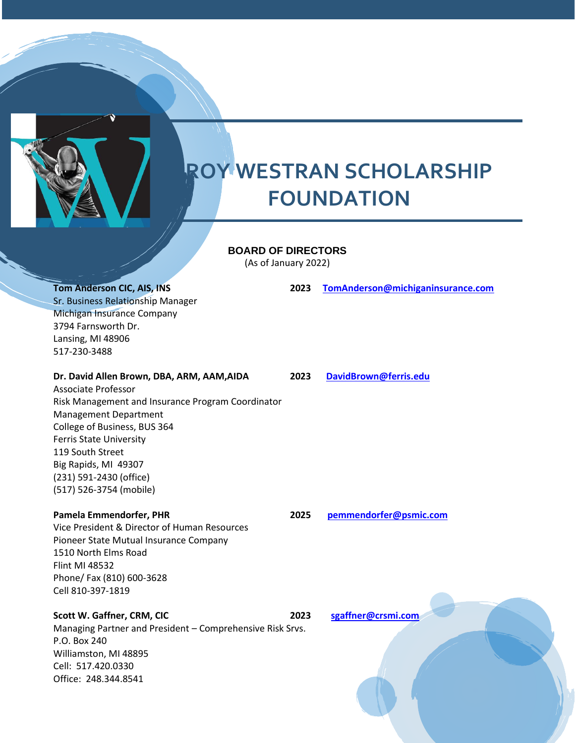

## **BOARD OF DIRECTORS**

(As of January 2022)

**Tom Anderson CIC, AIS, INS 2023 [TomAnderson@michiganinsurance.com](mailto:TomAnderson@michiganinsurance.com)** Sr. Business Relationship Manager Michigan Insurance Company 3794 Farnsworth Dr. Lansing, MI 48906 517-230-3488

**Dr. David Allen Brown, DBA, ARM, AAM,AIDA 2023 [DavidBrown@ferris.edu](mailto:DavidBrown@ferris.edu)**

Associate Professor Risk Management and Insurance Program Coordinator Management Department College of Business, BUS 364 Ferris State University 119 South Street Big Rapids, MI 49307 (231) 591-2430 (office) (517) 526-3754 (mobile)

Vice President & Director of Human Resources Pioneer State Mutual Insurance Company 1510 North Elms Road Flint MI 48532 Phone/ Fax (810) 600-3628 Cell 810-397-1819

# **Scott W. Gaffner, CRM, CIC 2023 [sgaffner@crsmi.com](mailto:sgaffner@crsmi.com)**

Managing Partner and President – Comprehensive Risk Srvs. P.O. Box 240 Williamston, MI 48895 Cell: 517.420.0330 Office: 248.344.8541

**Pamela Emmendorfer, PHR 2025 [pemmendorfer@psmic.com](mailto:pemmendorfer@psmic.com)**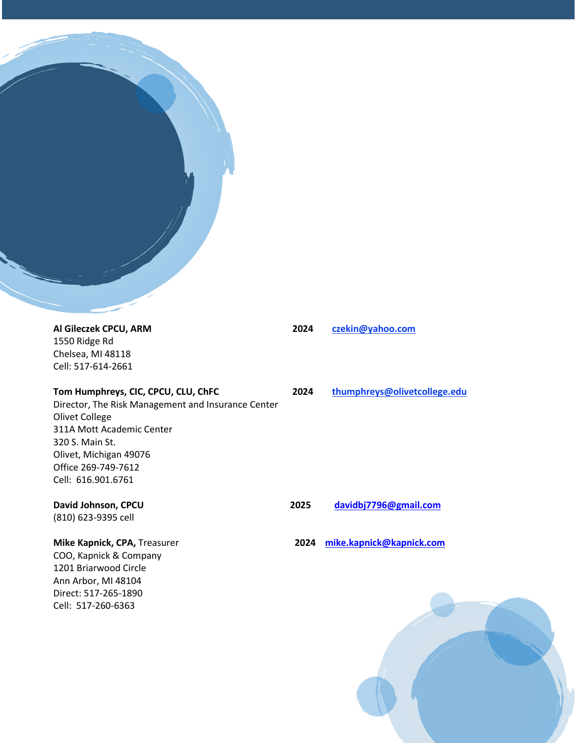

1550 Ridge Rd Chelsea, MI 48118 Cell: 517-614-2661

**Tom Humphreys, CIC, CPCU, CLU, ChFC 2024 thumphreys@olivetcollege.edu** Director, The Risk Management and Insurance Center Olivet College 311A Mott Academic Center 320 S. Main St. Olivet, Michigan 49076 Office 269-749-7612 Cell: 616.901.6761

(810) 623-9395 cell

COO, Kapnick & Company 1201 Briarwood Circle Ann Arbor, MI 48104 Direct: 517-265-1890 Cell: 517-260-6363

**Al Gileczek CPCU, ARM 2024 czekin@yahoo.com**

**David Johnson, CPCU 2025 [davidbj7796@gmail.com](mailto:davidbj7796@gmail.com)**

**Mike Kapnick, CPA,** Treasurer **2024 [mike.kapnick@kapnick.com](mailto:mike.kapnick@kapnick.com)**

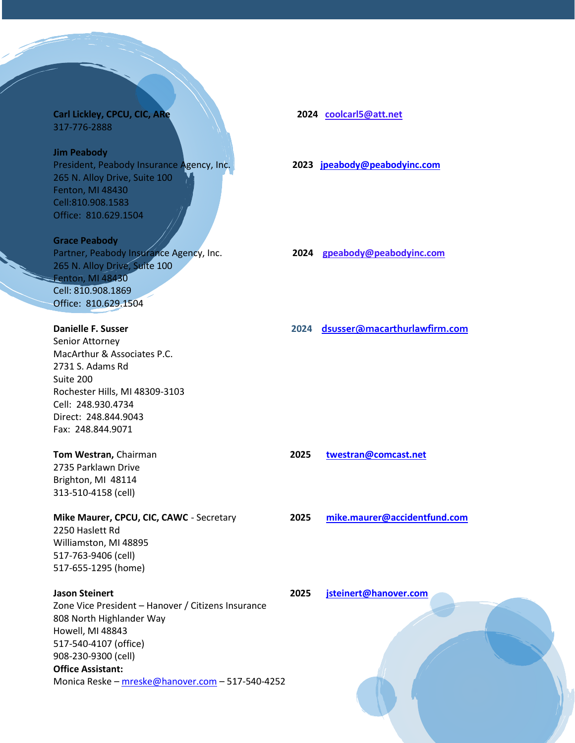### **Carl Lickley, CPCU, CIC, ARe 2024** coolcarl5@att.net 317-776-2888

### **Jim Peabody**

President, Peabody Insurance Agency, Inc. **2023 [jpeabody@peabodyinc.com](mailto:jpeabody@peabodyinc.com)** 265 N. Alloy Drive, Suite 100 Fenton, MI 48430 Cell:810.908.1583 Office: 810.629.1504

**Grace Peabody**  Partner, Peabody Insurance Agency, Inc. **2024 gpeabody@peabodyinc.com** 265 N. Alloy Drive, Suite 100 Fenton, MI 48430 Cell: 810.908.1869 Office: 810.629.1504

Senior Attorney MacArthur & Associates P.C. 2731 S. Adams Rd Suite 200 Rochester Hills, MI 48309-3103 Cell: 248.930.4734 Direct: 248.844.9043 Fax: 248.844.9071

2735 Parklawn Drive Brighton, MI 48114 313-510-4158 (cell)

2250 Haslett Rd Williamston, MI 48895 517-763-9406 (cell) 517-655-1295 (home)

**Jason Steinert 2025 [jsteinert@hanover.com](mailto:jsteinert@hanover.com)** Zone Vice President – Hanover / Citizens Insurance 808 North Highlander Way Howell, MI 48843 517-540-4107 (office) 908-230-9300 (cell) **Office Assistant:**  Monica Reske – [mreske@hanover.com](mailto:mreske@hanover.com) – 517-540-4252

**Danielle F. Susser 2024 [dsusser@macarthurlawfirm.com](mailto:dsusser@macarthurlawfirm.com)**

**Tom Westran,** Chairman **2025 [twestran@comcast.net](mailto:twestran@comcast.net)**

**Mike Maurer, CPCU, CIC, CAWC** - Secretary **2025 [mike.maurer@accidentfund.com](mailto:mike.maurer@accidentfund.com)**